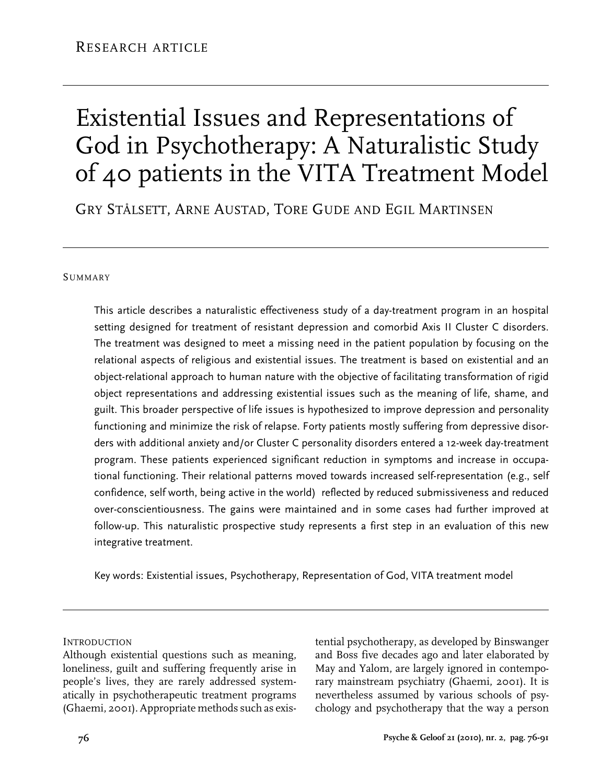# Existential Issues and Representations of God in Psychotherapy: A Naturalistic Study of 40 patients in the VITA Treatment Model

Gry Stålsett, Arne Austad, Tore Gude and Egil Martinsen

#### **SUMMARY**

This article describes a naturalistic effectiveness study of a day-treatment program in an hospital setting designed for treatment of resistant depression and comorbid Axis II Cluster C disorders. The treatment was designed to meet a missing need in the patient population by focusing on the relational aspects of religious and existential issues. The treatment is based on existential and an object-relational approach to human nature with the objective of facilitating transformation of rigid object representations and addressing existential issues such as the meaning of life, shame, and guilt. This broader perspective of life issues is hypothesized to improve depression and personality functioning and minimize the risk of relapse. Forty patients mostly suffering from depressive disorders with additional anxiety and/or Cluster C personality disorders entered a 12-week day-treatment program. These patients experienced significant reduction in symptoms and increase in occupational functioning. Their relational patterns moved towards increased self-representation (e.g., self confidence, self worth, being active in the world) reflected by reduced submissiveness and reduced over-conscientiousness. The gains were maintained and in some cases had further improved at follow-up. This naturalistic prospective study represents a first step in an evaluation of this new integrative treatment.

Key words: Existential issues, Psychotherapy, Representation of God, VITA treatment model

**INTRODUCTION** 

Although existential questions such as meaning, loneliness, guilt and suffering frequently arise in people's lives, they are rarely addressed systematically in psychotherapeutic treatment programs (Ghaemi, 2001). Appropriate methods such as exis-

tential psychotherapy, as developed by Binswanger and Boss five decades ago and later elaborated by May and Yalom, are largely ignored in contemporary mainstream psychiatry (Ghaemi, 2001). It is nevertheless assumed by various schools of psychology and psychotherapy that the way a person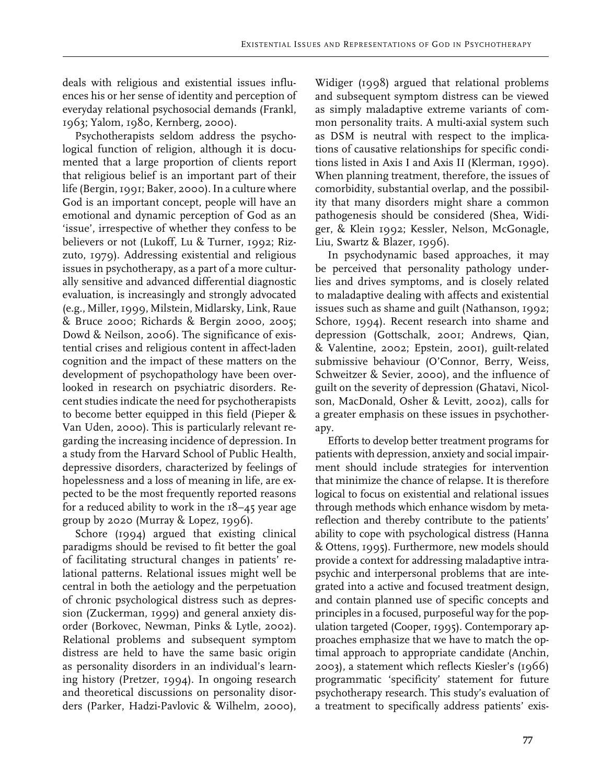Existential Issues and Representations of God in Psychotherapy

deals with religious and existential issues influences his or her sense of identity and perception of everyday relational psychosocial demands (Frankl, 1963; Yalom, 1980, Kernberg, 2000).

Psychotherapists seldom address the psychological function of religion, although it is documented that a large proportion of clients report that religious belief is an important part of their life (Bergin, 1991; Baker, 2000). In a culture where God is an important concept, people will have an emotional and dynamic perception of God as an 'issue', irrespective of whether they confess to be believers or not (Lukoff, Lu & Turner, 1992; Rizzuto, 1979). Addressing existential and religious issues in psychotherapy, as a part of a more culturally sensitive and advanced differential diagnostic evaluation, is increasingly and strongly advocated (e.g., Miller, 1999, Milstein, Midlarsky, Link, Raue & Bruce 2000; Richards & Bergin 2000, 2005; Dowd & Neilson, 2006). The significance of existential crises and religious content in affect-laden cognition and the impact of these matters on the development of psychopathology have been overlooked in research on psychiatric disorders. Recent studies indicate the need for psychotherapists to become better equipped in this field (Pieper & Van Uden, 2000). This is particularly relevant regarding the increasing incidence of depression. In a study from the Harvard School of Public Health, depressive disorders, characterized by feelings of hopelessness and a loss of meaning in life, are expected to be the most frequently reported reasons for a reduced ability to work in the  $18-45$  year age group by 2020 (Murray  $&$  Lopez, 1996).

Schore (1994) argued that existing clinical paradigms should be revised to fit better the goal of facilitating structural changes in patients' relational patterns. Relational issues might well be central in both the aetiology and the perpetuation of chronic psychological distress such as depression (Zuckerman, 1999) and general anxiety disorder (Borkovec, Newman, Pinks & Lytle, 2002). Relational problems and subsequent symptom distress are held to have the same basic origin as personality disorders in an individual's learning history (Pretzer, 1994). In ongoing research and theoretical discussions on personality disorders (Parker, Hadzi-Pavlovic & Wilhelm, 2000),

Widiger (1998) argued that relational problems and subsequent symptom distress can be viewed as simply maladaptive extreme variants of common personality traits. A multi-axial system such as DSM is neutral with respect to the implications of causative relationships for specific conditions listed in Axis I and Axis II (Klerman, 1990). When planning treatment, therefore, the issues of comorbidity, substantial overlap, and the possibility that many disorders might share a common pathogenesis should be considered (Shea, Widiger, & Klein 1992; Kessler, Nelson, McGonagle, Liu, Swartz & Blazer, 1996).

In psychodynamic based approaches, it may be perceived that personality pathology underlies and drives symptoms, and is closely related to maladaptive dealing with affects and existential issues such as shame and guilt (Nathanson, 1992; Schore, 1994). Recent research into shame and depression (Gottschalk, 2001; Andrews, Qian, & Valentine, 2002; Epstein, 2001), guilt-related submissive behaviour (O'Connor, Berry, Weiss, Schweitzer & Sevier, 2000), and the influence of guilt on the severity of depression (Ghatavi, Nicolson, MacDonald, Osher & Levitt, 2002), calls for a greater emphasis on these issues in psychotherapy.

Efforts to develop better treatment programs for patients with depression, anxiety and social impairment should include strategies for intervention that minimize the chance of relapse. It is therefore logical to focus on existential and relational issues through methods which enhance wisdom by metareflection and thereby contribute to the patients' ability to cope with psychological distress (Hanna & Ottens, 1995). Furthermore, new models should provide a context for addressing maladaptive intrapsychic and interpersonal problems that are integrated into a active and focused treatment design, and contain planned use of specific concepts and principles in a focused, purposeful way for the population targeted (Cooper, 1995). Contemporary approaches emphasize that we have to match the optimal approach to appropriate candidate (Anchin, 2003), a statement which reflects Kiesler's (1966) programmatic 'specificity' statement for future psychotherapy research. This study's evaluation of a treatment to specifically address patients' exis-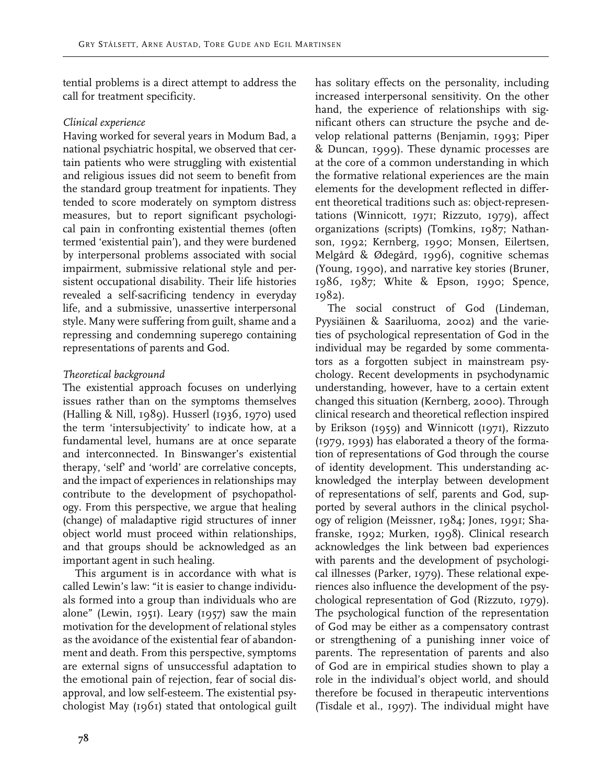tential problems is a direct attempt to address the call for treatment specificity.

# *Clinical experience*

Having worked for several years in Modum Bad, a national psychiatric hospital, we observed that certain patients who were struggling with existential and religious issues did not seem to benefit from the standard group treatment for inpatients. They tended to score moderately on symptom distress measures, but to report significant psychological pain in confronting existential themes (often termed 'existential pain'), and they were burdened by interpersonal problems associated with social impairment, submissive relational style and persistent occupational disability. Their life histories revealed a self-sacrificing tendency in everyday life, and a submissive, unassertive interpersonal style. Many were suffering from guilt, shame and a repressing and condemning superego containing representations of parents and God.

# *Theoretical background*

The existential approach focuses on underlying issues rather than on the symptoms themselves (Halling & Nill, 1989). Husserl (1936, 1970) used the term 'intersubjectivity' to indicate how, at a fundamental level, humans are at once separate and interconnected. In Binswanger's existential therapy, 'self' and 'world' are correlative concepts, and the impact of experiences in relationships may contribute to the development of psychopathology. From this perspective, we argue that healing (change) of maladaptive rigid structures of inner object world must proceed within relationships, and that groups should be acknowledged as an important agent in such healing.

This argument is in accordance with what is called Lewin's law: "it is easier to change individuals formed into a group than individuals who are alone" (Lewin, 1951). Leary (1957) saw the main motivation for the development of relational styles as the avoidance of the existential fear of abandonment and death. From this perspective, symptoms are external signs of unsuccessful adaptation to the emotional pain of rejection, fear of social disapproval, and low self-esteem. The existential psychologist May (1961) stated that ontological guilt has solitary effects on the personality, including increased interpersonal sensitivity. On the other hand, the experience of relationships with significant others can structure the psyche and develop relational patterns (Benjamin, 1993; Piper & Duncan, 1999). These dynamic processes are at the core of a common understanding in which the formative relational experiences are the main elements for the development reflected in different theoretical traditions such as: object-representations (Winnicott, 1971; Rizzuto, 1979), affect organizations (scripts) (Tomkins, 1987; Nathanson, 1992; Kernberg, 1990; Monsen, Eilertsen, Melgård & Ødegård, 1996), cognitive schemas (Young, 1990), and narrative key stories (Bruner, 1986, 1987; White & Epson, 1990; Spence, 1982).

The social construct of God (Lindeman, Pyysiäinen & Saariluoma, 2002) and the varieties of psychological representation of God in the individual may be regarded by some commentators as a forgotten subject in mainstream psychology. Recent developments in psychodynamic understanding, however, have to a certain extent changed this situation (Kernberg, 2000). Through clinical research and theoretical reflection inspired by Erikson (1959) and Winnicott (1971), Rizzuto (1979, 1993) has elaborated a theory of the formation of representations of God through the course of identity development. This understanding acknowledged the interplay between development of representations of self, parents and God, supported by several authors in the clinical psychology of religion (Meissner, 1984; Jones, 1991; Shafranske, 1992; Murken, 1998). Clinical research acknowledges the link between bad experiences with parents and the development of psychological illnesses (Parker, 1979). These relational experiences also influence the development of the psychological representation of God (Rizzuto, 1979). The psychological function of the representation of God may be either as a compensatory contrast or strengthening of a punishing inner voice of parents. The representation of parents and also of God are in empirical studies shown to play a role in the individual's object world, and should therefore be focused in therapeutic interventions (Tisdale et al., 1997). The individual might have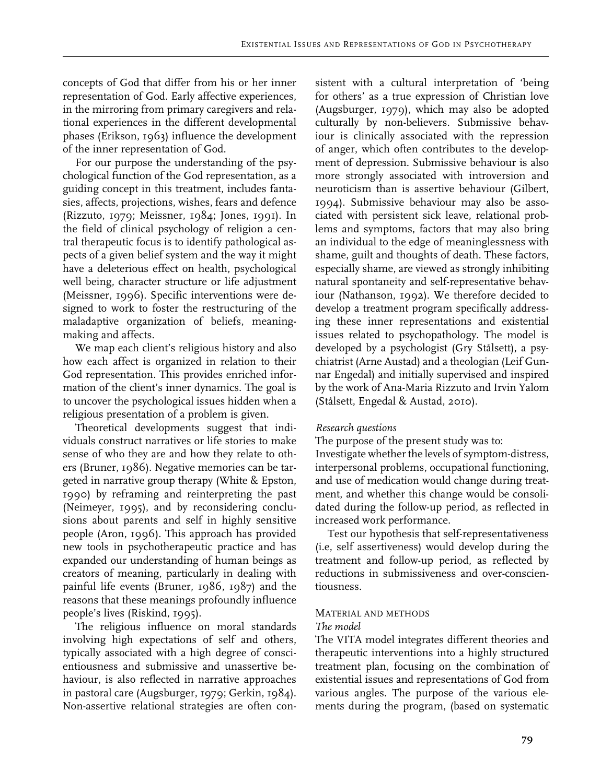concepts of God that differ from his or her inner representation of God. Early affective experiences, in the mirroring from primary caregivers and relational experiences in the different developmental phases (Erikson, 1963) influence the development of the inner representation of God.

For our purpose the understanding of the psychological function of the God representation, as a guiding concept in this treatment, includes fantasies, affects, projections, wishes, fears and defence (Rizzuto, 1979; Meissner, 1984; Jones, 1991). In the field of clinical psychology of religion a central therapeutic focus is to identify pathological aspects of a given belief system and the way it might have a deleterious effect on health, psychological well being, character structure or life adjustment (Meissner, 1996). Specific interventions were designed to work to foster the restructuring of the maladaptive organization of beliefs, meaningmaking and affects.

We map each client's religious history and also how each affect is organized in relation to their God representation. This provides enriched information of the client's inner dynamics. The goal is to uncover the psychological issues hidden when a religious presentation of a problem is given.

Theoretical developments suggest that individuals construct narratives or life stories to make sense of who they are and how they relate to others (Bruner, 1986). Negative memories can be targeted in narrative group therapy (White & Epston, 1990) by reframing and reinterpreting the past (Neimeyer, 1995), and by reconsidering conclusions about parents and self in highly sensitive people (Aron, 1996). This approach has provided new tools in psychotherapeutic practice and has expanded our understanding of human beings as creators of meaning, particularly in dealing with painful life events (Bruner, 1986, 1987) and the reasons that these meanings profoundly influence people's lives (Riskind, 1995).

The religious influence on moral standards involving high expectations of self and others, typically associated with a high degree of conscientiousness and submissive and unassertive behaviour, is also reflected in narrative approaches in pastoral care (Augsburger, 1979; Gerkin, 1984). Non-assertive relational strategies are often con-

sistent with a cultural interpretation of 'being for others' as a true expression of Christian love (Augsburger, 1979), which may also be adopted culturally by non-believers. Submissive behaviour is clinically associated with the repression of anger, which often contributes to the development of depression. Submissive behaviour is also more strongly associated with introversion and neuroticism than is assertive behaviour (Gilbert, 1994). Submissive behaviour may also be associated with persistent sick leave, relational problems and symptoms, factors that may also bring an individual to the edge of meaninglessness with shame, guilt and thoughts of death. These factors, especially shame, are viewed as strongly inhibiting natural spontaneity and self-representative behaviour (Nathanson, 1992). We therefore decided to develop a treatment program specifically addressing these inner representations and existential issues related to psychopathology. The model is developed by a psychologist (Gry Stålsett), a psychiatrist (Arne Austad) and a theologian (Leif Gunnar Engedal) and initially supervised and inspired by the work of Ana-Maria Rizzuto and Irvin Yalom (Stålsett, Engedal & Austad, 2010).

## *Research questions*

The purpose of the present study was to:

Investigate whether the levels of symptom-distress, interpersonal problems, occupational functioning, and use of medication would change during treatment, and whether this change would be consolidated during the follow-up period, as reflected in increased work performance.

Test our hypothesis that self-representativeness (i.e, self assertiveness) would develop during the treatment and follow-up period, as reflected by reductions in submissiveness and over-conscientiousness.

## Material and methods

#### *The model*

The VITA model integrates different theories and therapeutic interventions into a highly structured treatment plan, focusing on the combination of existential issues and representations of God from various angles. The purpose of the various elements during the program, (based on systematic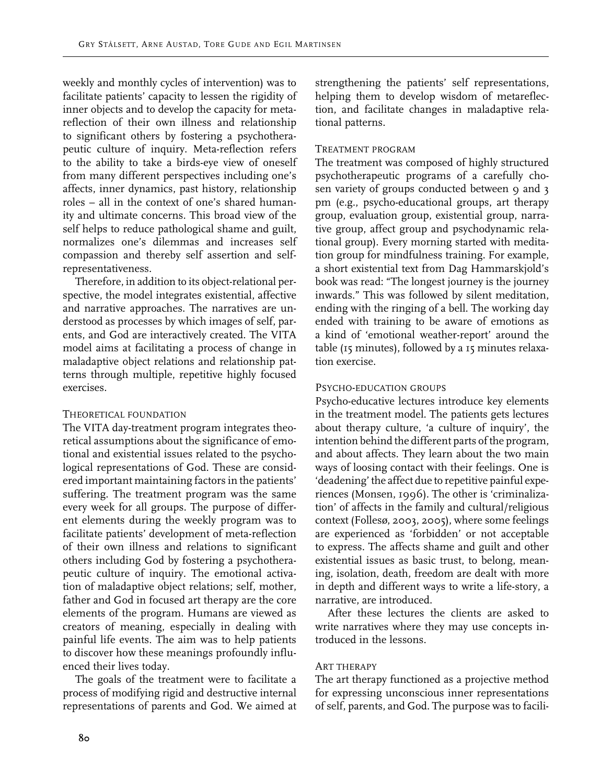weekly and monthly cycles of intervention) was to facilitate patients' capacity to lessen the rigidity of inner objects and to develop the capacity for metareflection of their own illness and relationship to significant others by fostering a psychotherapeutic culture of inquiry. Meta-reflection refers to the ability to take a birds-eye view of oneself from many different perspectives including one's affects, inner dynamics, past history, relationship roles – all in the context of one's shared humanity and ultimate concerns. This broad view of the self helps to reduce pathological shame and guilt, normalizes one's dilemmas and increases self compassion and thereby self assertion and selfrepresentativeness.

Therefore, in addition to its object-relational perspective, the model integrates existential, affective and narrative approaches. The narratives are understood as processes by which images of self, parents, and God are interactively created. The VITA model aims at facilitating a process of change in maladaptive object relations and relationship patterns through multiple, repetitive highly focused exercises.

## Theoretical foundation

The VITA day-treatment program integrates theoretical assumptions about the significance of emotional and existential issues related to the psychological representations of God. These are considered important maintaining factors in the patients' suffering. The treatment program was the same every week for all groups. The purpose of different elements during the weekly program was to facilitate patients' development of meta-reflection of their own illness and relations to significant others including God by fostering a psychotherapeutic culture of inquiry. The emotional activation of maladaptive object relations; self, mother, father and God in focused art therapy are the core elements of the program. Humans are viewed as creators of meaning, especially in dealing with painful life events. The aim was to help patients to discover how these meanings profoundly influenced their lives today.

The goals of the treatment were to facilitate a process of modifying rigid and destructive internal representations of parents and God. We aimed at

strengthening the patients' self representations, helping them to develop wisdom of metareflection, and facilitate changes in maladaptive relational patterns.

# Treatment program

The treatment was composed of highly structured psychotherapeutic programs of a carefully cho- $\overrightarrow{S}$  sen variety of groups conducted between 9 and 3 pm (e.g., psycho-educational groups, art therapy group, evaluation group, existential group, narrative group, affect group and psychodynamic relational group). Every morning started with meditation group for mindfulness training. For example, a short existential text from Dag Hammarskjold's book was read: "The longest journey is the journey inwards." This was followed by silent meditation, ending with the ringing of a bell. The working day ended with training to be aware of emotions as a kind of 'emotional weather-report' around the table (15 minutes), followed by a 15 minutes relaxation exercise.

# Psycho-education groups

Psycho-educative lectures introduce key elements in the treatment model. The patients gets lectures about therapy culture, 'a culture of inquiry', the intention behind the different parts of the program, and about affects. They learn about the two main ways of loosing contact with their feelings. One is 'deadening' the affect due to repetitive painful experiences (Monsen, 1996). The other is 'criminalization' of affects in the family and cultural/religious context (Follesø, 2003, 2005), where some feelings are experienced as 'forbidden' or not acceptable to express. The affects shame and guilt and other existential issues as basic trust, to belong, meaning, isolation, death, freedom are dealt with more in depth and different ways to write a life-story, a narrative, are introduced.

After these lectures the clients are asked to write narratives where they may use concepts introduced in the lessons.

# Art therapy

The art therapy functioned as a projective method for expressing unconscious inner representations of self, parents, and God. The purpose was to facili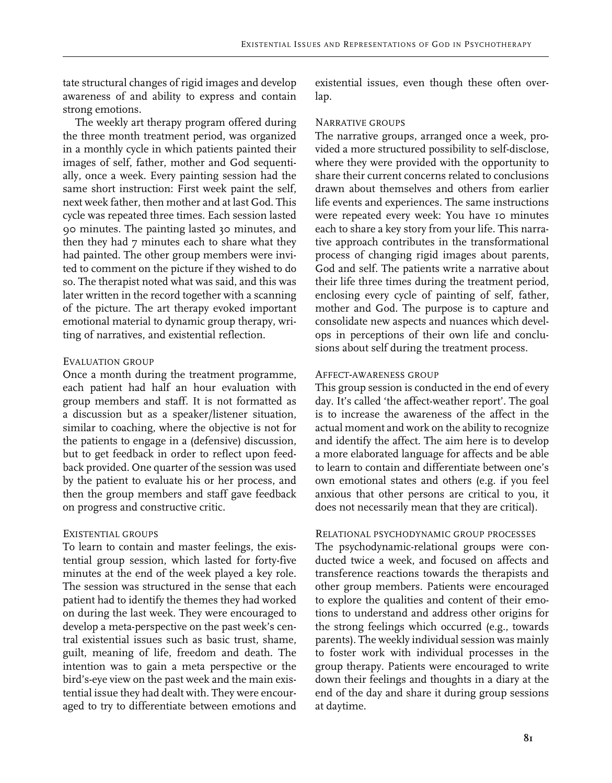tate structural changes of rigid images and develop awareness of and ability to express and contain strong emotions.

The weekly art therapy program offered during the three month treatment period, was organized in a monthly cycle in which patients painted their images of self, father, mother and God sequentially, once a week. Every painting session had the same short instruction: First week paint the self, next week father, then mother and at last God. This cycle was repeated three times. Each session lasted 90 minutes. The painting lasted 30 minutes, and then they had 7 minutes each to share what they had painted. The other group members were invited to comment on the picture if they wished to do so. The therapist noted what was said, and this was later written in the record together with a scanning of the picture. The art therapy evoked important emotional material to dynamic group therapy, writing of narratives, and existential reflection.

#### Evaluation group

Once a month during the treatment programme, each patient had half an hour evaluation with group members and staff. It is not formatted as a discussion but as a speaker/listener situation, similar to coaching, where the objective is not for the patients to engage in a (defensive) discussion, but to get feedback in order to reflect upon feedback provided. One quarter of the session was used by the patient to evaluate his or her process, and then the group members and staff gave feedback on progress and constructive critic.

#### Existential groups

To learn to contain and master feelings, the existential group session, which lasted for forty-five minutes at the end of the week played a key role. The session was structured in the sense that each patient had to identify the themes they had worked on during the last week. They were encouraged to develop a meta-perspective on the past week's central existential issues such as basic trust, shame, guilt, meaning of life, freedom and death. The intention was to gain a meta perspective or the bird's-eye view on the past week and the main existential issue they had dealt with. They were encouraged to try to differentiate between emotions and

existential issues, even though these often overlap.

#### Narrative groups

The narrative groups, arranged once a week, provided a more structured possibility to self-disclose, where they were provided with the opportunity to share their current concerns related to conclusions drawn about themselves and others from earlier life events and experiences. The same instructions were repeated every week: You have 10 minutes each to share a key story from your life. This narrative approach contributes in the transformational process of changing rigid images about parents, God and self. The patients write a narrative about their life three times during the treatment period, enclosing every cycle of painting of self, father, mother and God. The purpose is to capture and consolidate new aspects and nuances which develops in perceptions of their own life and conclusions about self during the treatment process.

#### Affect-awareness group

This group session is conducted in the end of every day. It's called 'the affect-weather report'. The goal is to increase the awareness of the affect in the actual moment and work on the ability to recognize and identify the affect. The aim here is to develop a more elaborated language for affects and be able to learn to contain and differentiate between one's own emotional states and others (e.g. if you feel anxious that other persons are critical to you, it does not necessarily mean that they are critical).

## Relational psychodynamic group processes

The psychodynamic-relational groups were conducted twice a week, and focused on affects and transference reactions towards the therapists and other group members. Patients were encouraged to explore the qualities and content of their emotions to understand and address other origins for the strong feelings which occurred (e.g., towards parents). The weekly individual session was mainly to foster work with individual processes in the group therapy. Patients were encouraged to write down their feelings and thoughts in a diary at the end of the day and share it during group sessions at daytime.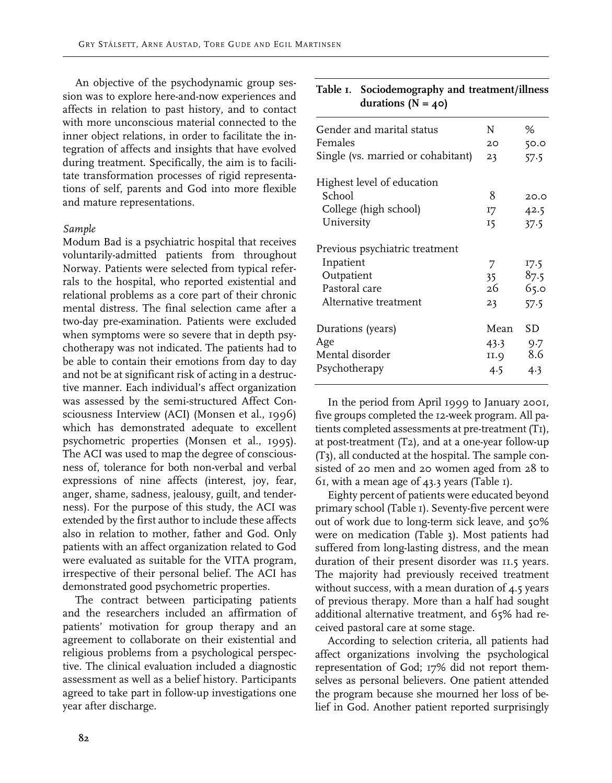An objective of the psychodynamic group session was to explore here-and-now experiences and affects in relation to past history, and to contact with more unconscious material connected to the inner object relations, in order to facilitate the integration of affects and insights that have evolved during treatment. Specifically, the aim is to facilitate transformation processes of rigid representations of self, parents and God into more flexible and mature representations.

#### *Sample*

Modum Bad is a psychiatric hospital that receives voluntarily-admitted patients from throughout Norway. Patients were selected from typical referrals to the hospital, who reported existential and relational problems as a core part of their chronic mental distress. The final selection came after a two-day pre-examination. Patients were excluded when symptoms were so severe that in depth psychotherapy was not indicated. The patients had to be able to contain their emotions from day to day and not be at significant risk of acting in a destructive manner. Each individual's affect organization was assessed by the semi-structured Affect Consciousness Interview (ACI) (Monsen et al., 1996) which has demonstrated adequate to excellent psychometric properties (Monsen et al., 1995). The ACI was used to map the degree of consciousness of, tolerance for both non-verbal and verbal expressions of nine affects (interest, joy, fear, anger, shame, sadness, jealousy, guilt, and tenderness). For the purpose of this study, the ACI was extended by the first author to include these affects also in relation to mother, father and God. Only patients with an affect organization related to God were evaluated as suitable for the VITA program, irrespective of their personal belief. The ACI has demonstrated good psychometric properties.

The contract between participating patients and the researchers included an affirmation of patients' motivation for group therapy and an agreement to collaborate on their existential and religious problems from a psychological perspective. The clinical evaluation included a diagnostic assessment as well as a belief history. Participants agreed to take part in follow-up investigations one year after discharge.

| durations ( $N = 40$ )             |      |      |
|------------------------------------|------|------|
| Gender and marital status          | N    | ℅    |
| Females                            | 20   | 50.0 |
| Single (vs. married or cohabitant) | 23   | 57.5 |
| Highest level of education         |      |      |
| School                             | 8    | 20.0 |
| College (high school)              | I7   | 42.5 |
| University                         | 15   | 37.5 |
| Previous psychiatric treatment     |      |      |
| Inpatient                          | 7    | 17.5 |
| Outpatient                         | 35   | 87.5 |
| Pastoral care                      | 26   | 65.0 |
| Alternative treatment              | 23   | 57.5 |
| Durations (years)                  | Mean | SD   |
| Age                                | 43.3 | 9.7  |
| Mental disorder                    | II.Q | 8.6  |

**Table 1. Sociodemography and treatment/illness**

In the period from April 1999 to January 2001, five groups completed the 12-week program. All patients completed assessments at pre-treatment (T1), at post-treatment (T2), and at a one-year follow-up (T3), all conducted at the hospital. The sample consisted of 20 men and 20 women aged from 28 to 61, with a mean age of 43.3 years (Table 1).

Psychotherapy 4.5 4.3

Eighty percent of patients were educated beyond primary school (Table 1). Seventy-five percent were out of work due to long-term sick leave, and 50% were on medication (Table 3). Most patients had suffered from long-lasting distress, and the mean duration of their present disorder was 11.5 years. The majority had previously received treatment without success, with a mean duration of 4.5 years of previous therapy. More than a half had sought additional alternative treatment, and 65% had received pastoral care at some stage.

According to selection criteria, all patients had affect organizations involving the psychological representation of God; 17% did not report themselves as personal believers. One patient attended the program because she mourned her loss of belief in God. Another patient reported surprisingly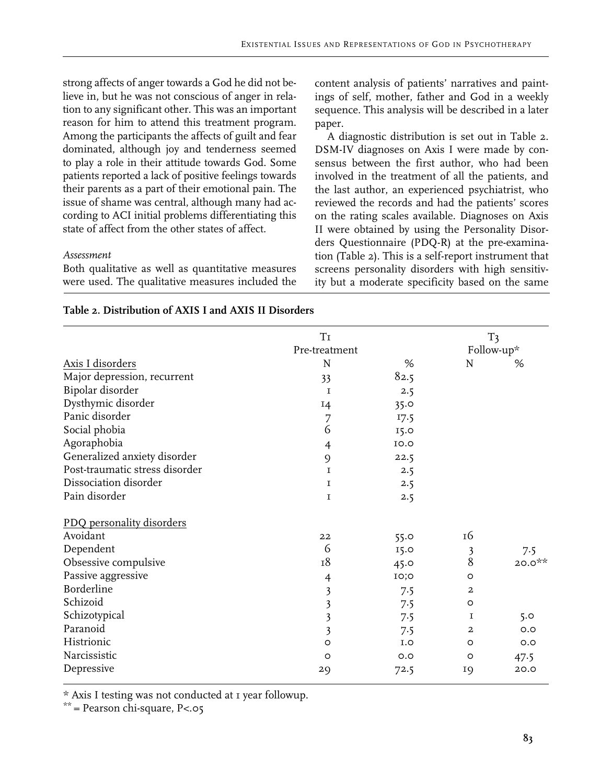strong affects of anger towards a God he did not believe in, but he was not conscious of anger in relation to any significant other. This was an important reason for him to attend this treatment program. Among the participants the affects of guilt and fear dominated, although joy and tenderness seemed to play a role in their attitude towards God. Some patients reported a lack of positive feelings towards their parents as a part of their emotional pain. The issue of shame was central, although many had according to ACI initial problems differentiating this state of affect from the other states of affect.

## *Assessment*

Both qualitative as well as quantitative measures were used. The qualitative measures included the content analysis of patients' narratives and paintings of self, mother, father and God in a weekly sequence. This analysis will be described in a later paper.

A diagnostic distribution is set out in Table 2. DSM-IV diagnoses on Axis I were made by consensus between the first author, who had been involved in the treatment of all the patients, and the last author, an experienced psychiatrist, who reviewed the records and had the patients' scores on the rating scales available. Diagnoses on Axis II were obtained by using the Personality Disorders Questionnaire (PDQ-R) at the pre-examination (Table 2). This is a self-report instrument that screens personality disorders with high sensitivity but a moderate specificity based on the same

|                                | $\rm{Ti}$               |      |                | T <sub>3</sub> |
|--------------------------------|-------------------------|------|----------------|----------------|
|                                | Pre-treatment           |      |                | Follow-up*     |
| Axis I disorders               | N                       | %    | N              | %              |
| Major depression, recurrent    | 33                      | 82.5 |                |                |
| Bipolar disorder               | $\mathbf I$             | 2.5  |                |                |
| Dysthymic disorder             | I4                      | 35.0 |                |                |
| Panic disorder                 | 7                       | 17.5 |                |                |
| Social phobia                  | 6                       | 15.0 |                |                |
| Agoraphobia                    | 4                       | 10.0 |                |                |
| Generalized anxiety disorder   | 9                       | 22.5 |                |                |
| Post-traumatic stress disorder | I                       | 2.5  |                |                |
| Dissociation disorder          | 1                       | 2.5  |                |                |
| Pain disorder                  | I                       | 2.5  |                |                |
| PDQ personality disorders      |                         |      |                |                |
| Avoidant                       | 22                      | 55.0 | 16             |                |
| Dependent                      | 6                       | 15.0 |                | 7.5            |
| Obsessive compulsive           | 18                      | 45.0 | $\frac{3}{8}$  | $20.0**$       |
| Passive aggressive             | 4                       | IO;O | $\circ$        |                |
| Borderline                     | $\mathfrak{Z}$          | 7.5  | $\overline{a}$ |                |
| Schizoid                       | $\overline{\mathbf{3}}$ | 7.5  | $\circ$        |                |
| Schizotypical                  | $\overline{\mathbf{3}}$ | 7.5  | 1              | 5.0            |
| Paranoid                       | $\overline{\mathbf{3}}$ | 7.5  | $\overline{a}$ | O.O            |
| Histrionic                     | $\circ$                 | I.O  | O              | O.O            |
| Narcissistic                   | $\circ$                 | O.O  | $\circ$        | 47.5           |
| Depressive                     | 29                      | 72.5 | 19             | 20.0           |

## **Table 2. Distribution of AXIS I and AXIS II Disorders**

\* Axis I testing was not conducted at 1 year followup.

 $**$  = Pearson chi-square, P<.05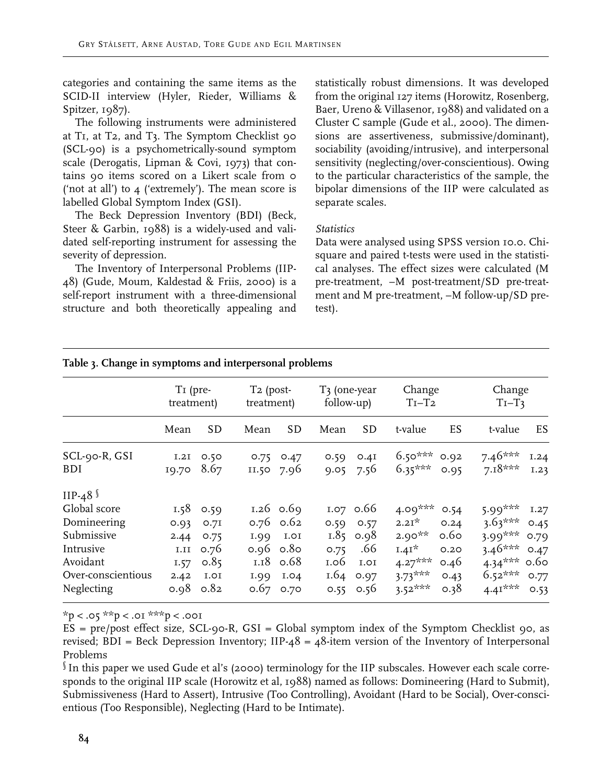categories and containing the same items as the SCID-II interview (Hyler, Rieder, Williams & Spitzer, 1987).

The following instruments were administered at T1, at T2, and T3. The Symptom Checklist 90 (SCL-90) is a psychometrically-sound symptom scale (Derogatis, Lipman & Covi, 1973) that contains 90 items scored on a Likert scale from 0 ('not at all') to  $\mu$  ('extremely'). The mean score is labelled Global Symptom Index (GSI).

The Beck Depression Inventory (BDI) (Beck, Steer & Garbin, 1988) is a widely-used and validated self-reporting instrument for assessing the severity of depression.

The Inventory of Interpersonal Problems (IIP-48) (Gude, Moum, Kaldestad & Friis, 2000) is a self-report instrument with a three-dimensional structure and both theoretically appealing and

statistically robust dimensions. It was developed from the original 127 items (Horowitz, Rosenberg, Baer, Ureno & Villasenor, 1988) and validated on a Cluster C sample (Gude et al., 2000). The dimensions are assertiveness, submissive/dominant), sociability (avoiding/intrusive), and interpersonal sensitivity (neglecting/over-conscientious). Owing to the particular characteristics of the sample, the bipolar dimensions of the IIP were calculated as separate scales.

## *Statistics*

Data were analysed using SPSS version 10.0. Chisquare and paired t-tests were used in the statistical analyses. The effect sizes were calculated (M pre-treatment, –M post-treatment/SD pre-treatment and M pre-treatment, –M follow-up/SD pretest).

|                                                                                                                          | T <sub>I</sub> (pre-<br>treatment) |                                                                             | $T_2$ (post-<br>treatment) |                                                                                              | T3 (one-year<br>follow-up) |                                                                                 | Change<br>$Ti-T2$                                                                             |                                                      | Change<br>$T_{I}-T_{3}$                                                                      |                                              |
|--------------------------------------------------------------------------------------------------------------------------|------------------------------------|-----------------------------------------------------------------------------|----------------------------|----------------------------------------------------------------------------------------------|----------------------------|---------------------------------------------------------------------------------|-----------------------------------------------------------------------------------------------|------------------------------------------------------|----------------------------------------------------------------------------------------------|----------------------------------------------|
|                                                                                                                          | Mean                               | <b>SD</b>                                                                   | Mean                       | <b>SD</b>                                                                                    | Mean                       | SD                                                                              | t-value                                                                                       | ES                                                   | t-value                                                                                      | ES.                                          |
| SCL-90-R, GSI<br><b>BDI</b>                                                                                              | 10.70                              | I.2I 0.50<br>8.67                                                           | 0.75                       | O.47<br>II.50 7.96                                                                           | 0.59                       | 0.4I<br>$9.05$ 7.56                                                             | $6.50***$<br>$6.35***$                                                                        | 0.92<br>0.95                                         | $7.46***$<br>$7.18***$                                                                       | 1.24<br>I.23                                 |
| IIP-48 $\sqrt$<br>Global score<br>Domineering<br>Submissive<br>Intrusive<br>Avoidant<br>Over-conscientious<br>Neglecting | 2.44<br>1.11<br>1.57<br>2.42       | $1.58$ 0.59<br>$0.93$ 0.71<br>0.75<br>0.76<br>0.85<br>I.OI<br>$0.98$ $0.82$ | 1.99                       | 1.26 $0.69$<br>$0.76$ 0.62<br>I.OI<br>$0.96$ 0.80<br>$1.18$ 0.68<br>I.99 I.04<br>$0.67$ 0.70 | 0.75<br>1.06<br>0.55       | 1.07 $0.66$<br>$0.59$ 0.57<br>$1.85$ 0.98<br>.66<br>I.OI<br>$1.64$ 0.97<br>0.56 | 4.09 <sup>***</sup><br>$2.21*$<br>$2.90***$<br>$1.41*$<br>$4.27***$<br>$3.73***$<br>$3.52***$ | 0.54<br>0.24<br>0.60<br>0.20<br>0.46<br>0.43<br>0.38 | $5.99***$<br>$3.63***$<br>$3.99***$<br>$3.46***$<br>$4.34***$ 0.60<br>$6.52***$<br>$4.41***$ | 1.27<br>0.45<br>0.79<br>0.47<br>0.77<br>0.53 |

# **Table 3. Change in symptoms and interpersonal problems**

 $*p < .05 **p < .01 **p < .001$ 

 $ES = pre/post$  effect size,  $SCL-90-R$ ,  $GSI = Global$  symptom index of the Symptom Checklist 90, as revised; BDI = Beck Depression Inventory; IIP- $48 = 48$ -item version of the Inventory of Interpersonal Problems

§ In this paper we used Gude et al's (2000) terminology for the IIP subscales. However each scale corresponds to the original IIP scale (Horowitz et al, 1988) named as follows: Domineering (Hard to Submit), Submissiveness (Hard to Assert), Intrusive (Too Controlling), Avoidant (Hard to be Social), Over-conscientious (Too Responsible), Neglecting (Hard to be Intimate).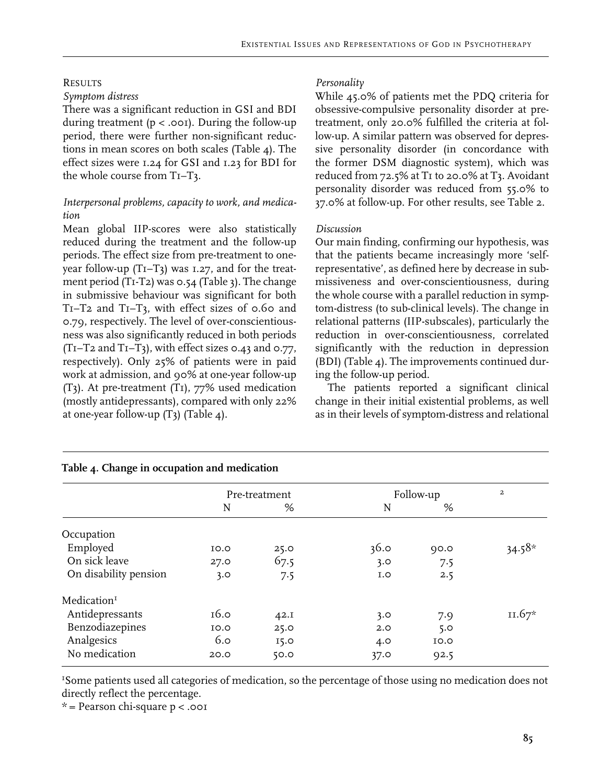# **RESULTS**

## *Symptom distress*

There was a significant reduction in GSI and BDI during treatment (p < .001). During the follow-up period, there were further non-significant reductions in mean scores on both scales (Table 4). The effect sizes were 1.24 for GSI and 1.23 for BDI for the whole course from T1–T3.

# *Interpersonal problems, capacity to work, and medication*

Mean global IIP-scores were also statistically reduced during the treatment and the follow-up periods. The effect size from pre-treatment to oneyear follow-up  $(T_I-T_3)$  was 1.27, and for the treatment period (T1-T2) was 0.54 (Table 3). The change in submissive behaviour was significant for both T1–T2 and T1–T3, with effect sizes of 0.60 and 0.79, respectively. The level of over-conscientiousness was also significantly reduced in both periods  $(TI-T2$  and  $TI-T3$ ), with effect sizes 0.43 and 0.77, respectively). Only 25% of patients were in paid work at admission, and 90% at one-year follow-up (T3). At pre-treatment (T1), 77% used medication (mostly antidepressants), compared with only 22% at one-year follow-up (T3) (Table 4).

# *Personality*

While 45.0% of patients met the PDQ criteria for obsessive-compulsive personality disorder at pretreatment, only 20.0% fulfilled the criteria at follow-up. A similar pattern was observed for depressive personality disorder (in concordance with the former DSM diagnostic system), which was reduced from 72.5% at T1 to 20.0% at T3. Avoidant personality disorder was reduced from 55.0% to 37.0% at follow-up. For other results, see Table 2.

# *Discussion*

Our main finding, confirming our hypothesis, was that the patients became increasingly more 'selfrepresentative', as defined here by decrease in submissiveness and over-conscientiousness, during the whole course with a parallel reduction in symptom-distress (to sub-clinical levels). The change in relational patterns (IIP-subscales), particularly the reduction in over-conscientiousness, correlated significantly with the reduction in depression (BDI) (Table 4). The improvements continued during the follow-up period.

The patients reported a significant clinical change in their initial existential problems, as well as in their levels of symptom-distress and relational

|                         | Pre-treatment |      | Follow-up | $\overline{a}$ |          |
|-------------------------|---------------|------|-----------|----------------|----------|
|                         | N             | %    | N         | %              |          |
| Occupation              |               |      |           |                |          |
| Employed                | <b>IO.O</b>   | 25.0 | 36.0      | 0.00           | $34.58*$ |
| On sick leave           | 27.0          | 67.5 | 3.0       | 7.5            |          |
| On disability pension   | 3.0           | 7.5  | I.O       | 2.5            |          |
| Medication <sup>1</sup> |               |      |           |                |          |
| Antidepressants         | 16.0          | 42.1 | 3.0       | 7.9            | II.67*   |
| Benzodiazepines         | <b>IO.O</b>   | 25.0 | 2.0       | 5.0            |          |
| Analgesics              | 6.0           | 15.0 | 4.0       | <b>IO.O</b>    |          |
| No medication           | 20.0          | 50.0 | 37.0      | 92.5           |          |

#### **Table 4. Change in occupation and medication**

<sup>1</sup>Some patients used all categories of medication, so the percentage of those using no medication does not directly reflect the percentage.

 $*$  = Pearson chi-square  $p < .001$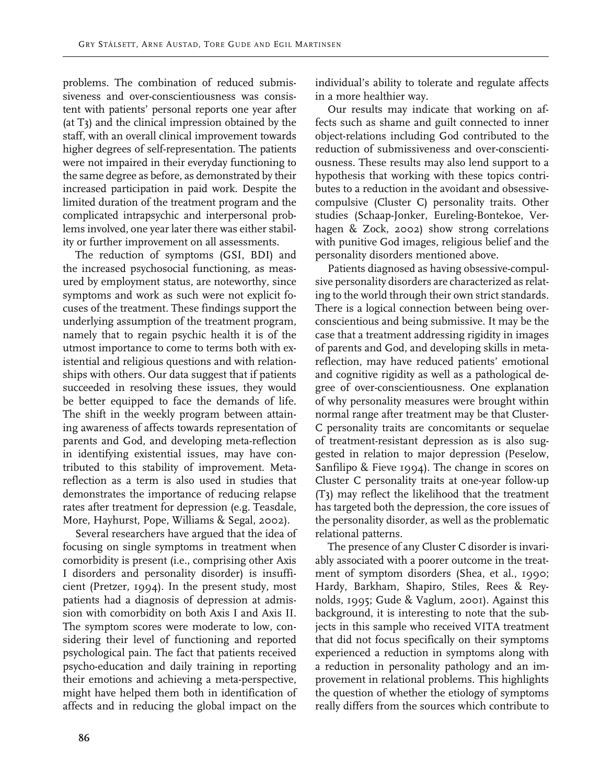problems. The combination of reduced submissiveness and over-conscientiousness was consistent with patients' personal reports one year after (at T3) and the clinical impression obtained by the staff, with an overall clinical improvement towards higher degrees of self-representation. The patients were not impaired in their everyday functioning to the same degree as before, as demonstrated by their increased participation in paid work. Despite the limited duration of the treatment program and the complicated intrapsychic and interpersonal problems involved, one year later there was either stability or further improvement on all assessments.

The reduction of symptoms (GSI, BDI) and the increased psychosocial functioning, as measured by employment status, are noteworthy, since symptoms and work as such were not explicit focuses of the treatment. These findings support the underlying assumption of the treatment program, namely that to regain psychic health it is of the utmost importance to come to terms both with existential and religious questions and with relationships with others. Our data suggest that if patients succeeded in resolving these issues, they would be better equipped to face the demands of life. The shift in the weekly program between attaining awareness of affects towards representation of parents and God, and developing meta-reflection in identifying existential issues, may have contributed to this stability of improvement. Metareflection as a term is also used in studies that demonstrates the importance of reducing relapse rates after treatment for depression (e.g. Teasdale, More, Hayhurst, Pope, Williams & Segal, 2002).

Several researchers have argued that the idea of focusing on single symptoms in treatment when comorbidity is present (i.e., comprising other Axis I disorders and personality disorder) is insufficient (Pretzer, 1994). In the present study, most patients had a diagnosis of depression at admission with comorbidity on both Axis I and Axis II. The symptom scores were moderate to low, considering their level of functioning and reported psychological pain. The fact that patients received psycho-education and daily training in reporting their emotions and achieving a meta-perspective, might have helped them both in identification of affects and in reducing the global impact on the

individual's ability to tolerate and regulate affects in a more healthier way.

Our results may indicate that working on affects such as shame and guilt connected to inner object-relations including God contributed to the reduction of submissiveness and over-conscientiousness. These results may also lend support to a hypothesis that working with these topics contributes to a reduction in the avoidant and obsessivecompulsive (Cluster C) personality traits. Other studies (Schaap-Jonker, Eureling-Bontekoe, Verhagen & Zock, 2002) show strong correlations with punitive God images, religious belief and the personality disorders mentioned above.

Patients diagnosed as having obsessive-compulsive personality disorders are characterized as relating to the world through their own strict standards. There is a logical connection between being overconscientious and being submissive. It may be the case that a treatment addressing rigidity in images of parents and God, and developing skills in metareflection, may have reduced patients' emotional and cognitive rigidity as well as a pathological degree of over-conscientiousness. One explanation of why personality measures were brought within normal range after treatment may be that Cluster-C personality traits are concomitants or sequelae of treatment-resistant depression as is also suggested in relation to major depression (Peselow, Sanfilipo & Fieve 1994). The change in scores on Cluster C personality traits at one-year follow-up (T3) may reflect the likelihood that the treatment has targeted both the depression, the core issues of the personality disorder, as well as the problematic relational patterns.

The presence of any Cluster C disorder is invariably associated with a poorer outcome in the treatment of symptom disorders (Shea, et al., 1990; Hardy, Barkham, Shapiro, Stiles, Rees & Reynolds, 1995; Gude & Vaglum, 2001). Against this background, it is interesting to note that the subjects in this sample who received VITA treatment that did not focus specifically on their symptoms experienced a reduction in symptoms along with a reduction in personality pathology and an improvement in relational problems. This highlights the question of whether the etiology of symptoms really differs from the sources which contribute to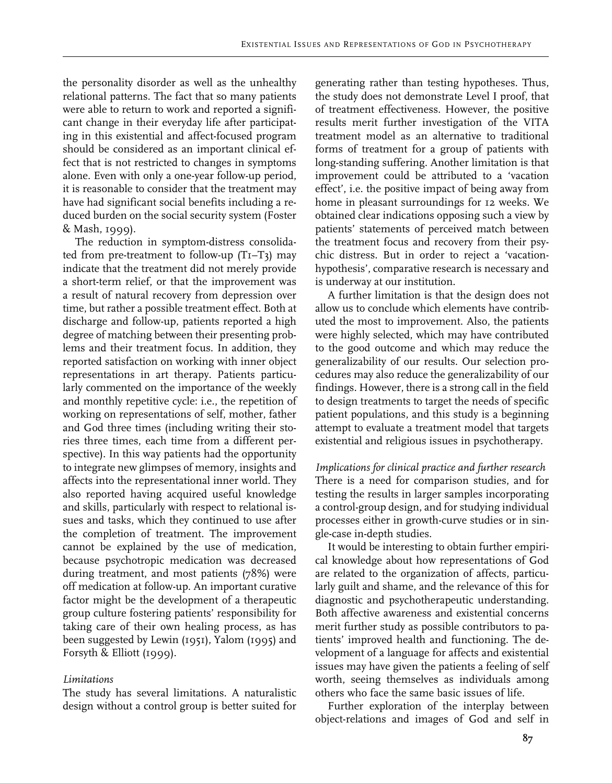the personality disorder as well as the unhealthy relational patterns. The fact that so many patients were able to return to work and reported a significant change in their everyday life after participating in this existential and affect-focused program should be considered as an important clinical effect that is not restricted to changes in symptoms alone. Even with only a one-year follow-up period, it is reasonable to consider that the treatment may have had significant social benefits including a reduced burden on the social security system (Foster & Mash, 1999).

The reduction in symptom-distress consolidated from pre-treatment to follow-up (T1–T3) may indicate that the treatment did not merely provide a short-term relief, or that the improvement was a result of natural recovery from depression over time, but rather a possible treatment effect. Both at discharge and follow-up, patients reported a high degree of matching between their presenting problems and their treatment focus. In addition, they reported satisfaction on working with inner object representations in art therapy. Patients particularly commented on the importance of the weekly and monthly repetitive cycle: i.e., the repetition of working on representations of self, mother, father and God three times (including writing their stories three times, each time from a different perspective). In this way patients had the opportunity to integrate new glimpses of memory, insights and affects into the representational inner world. They also reported having acquired useful knowledge and skills, particularly with respect to relational issues and tasks, which they continued to use after the completion of treatment. The improvement cannot be explained by the use of medication, because psychotropic medication was decreased during treatment, and most patients (78%) were off medication at follow-up. An important curative factor might be the development of a therapeutic group culture fostering patients' responsibility for taking care of their own healing process, as has been suggested by Lewin (1951), Yalom (1995) and Forsyth & Elliott (1999).

#### *Limitations*

The study has several limitations. A naturalistic design without a control group is better suited for

generating rather than testing hypotheses. Thus, the study does not demonstrate Level I proof, that of treatment effectiveness. However, the positive results merit further investigation of the VITA treatment model as an alternative to traditional forms of treatment for a group of patients with long-standing suffering. Another limitation is that improvement could be attributed to a 'vacation effect', i.e. the positive impact of being away from home in pleasant surroundings for 12 weeks. We obtained clear indications opposing such a view by patients' statements of perceived match between the treatment focus and recovery from their psychic distress. But in order to reject a 'vacationhypothesis', comparative research is necessary and is underway at our institution.

A further limitation is that the design does not allow us to conclude which elements have contributed the most to improvement. Also, the patients were highly selected, which may have contributed to the good outcome and which may reduce the generalizability of our results. Our selection procedures may also reduce the generalizability of our findings. However, there is a strong call in the field to design treatments to target the needs of specific patient populations, and this study is a beginning attempt to evaluate a treatment model that targets existential and religious issues in psychotherapy.

*Implications for clinical practice and further research* There is a need for comparison studies, and for testing the results in larger samples incorporating a control-group design, and for studying individual processes either in growth-curve studies or in single-case in-depth studies.

It would be interesting to obtain further empirical knowledge about how representations of God are related to the organization of affects, particularly guilt and shame, and the relevance of this for diagnostic and psychotherapeutic understanding. Both affective awareness and existential concerns merit further study as possible contributors to patients' improved health and functioning. The development of a language for affects and existential issues may have given the patients a feeling of self worth, seeing themselves as individuals among others who face the same basic issues of life.

Further exploration of the interplay between object-relations and images of God and self in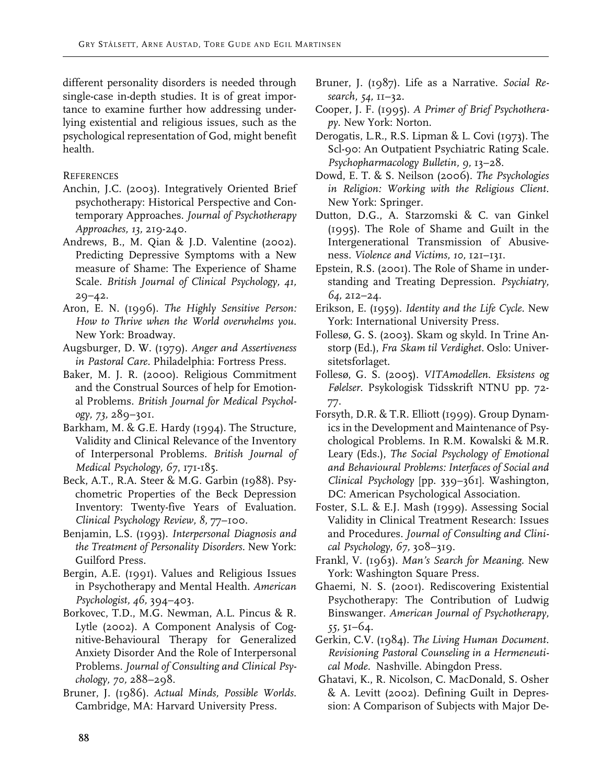different personality disorders is needed through single-case in-depth studies. It is of great importance to examine further how addressing underlying existential and religious issues, such as the psychological representation of God, might benefit health.

# **REFERENCES**

- Anchin, J.C. (2003). Integratively Oriented Brief psychotherapy: Historical Perspective and Contemporary Approaches. *Journal of Psychotherapy Approaches, 13,* 219-240.
- Andrews, B., M. Qian & J.D. Valentine (2002). Predicting Depressive Symptoms with a New measure of Shame: The Experience of Shame Scale. *British Journal of Clinical Psychology, 41,*  29–42.
- Aron, E. N. (1996). *The Highly Sensitive Person: How to Thrive when the World overwhelms you.*  New York: Broadway.
- Augsburger, D. W. (1979). *Anger and Assertiveness in Pastoral Care.* Philadelphia: Fortress Press.
- Baker, M. J. R. (2000). Religious Commitment and the Construal Sources of help for Emotional Problems. *British Journal for Medical Psychology, 73,* 289–301.
- Barkham, M. & G.E. Hardy (1994). The Structure, Validity and Clinical Relevance of the Inventory of Interpersonal Problems. *British Journal of Medical Psychology, 67*, 171-185.
- Beck, A.T., R.A. Steer & M.G. Garbin (1988). Psychometric Properties of the Beck Depression Inventory: Twenty-five Years of Evaluation. *Clinical Psychology Review, 8,* 77–100.
- Benjamin, L.S. (1993). *Interpersonal Diagnosis and the Treatment of Personality Disorders.* New York: Guilford Press.
- Bergin, A.E. (1991). Values and Religious Issues in Psychotherapy and Mental Health. *American Psychologist, 46,* 394–403.
- Borkovec, T.D., M.G. Newman, A.L. Pincus & R. Lytle (2002). A Component Analysis of Cognitive-Behavioural Therapy for Generalized Anxiety Disorder And the Role of Interpersonal Problems. *Journal of Consulting and Clinical Psychology, 70,* 288–298.
- Bruner, J. (1986). *Actual Minds, Possible Worlds.* Cambridge, MA: Harvard University Press.
- Bruner, J. (1987). Life as a Narrative. *Social Research, 54,* 11–32.
- Cooper, J. F. (1995). *A Primer of Brief Psychotherapy.* New York: Norton.
- Derogatis, L.R., R.S. Lipman & L. Covi (1973). The Scl-90: An Outpatient Psychiatric Rating Scale. *Psychopharmacology Bulletin, 9,* 13–28.
- Dowd, E. T. & S. Neilson (2006). *The Psychologies in Religion: Working with the Religious Client.* New York: Springer.
- Dutton, D.G., A. Starzomski & C. van Ginkel (1995). The Role of Shame and Guilt in the Intergenerational Transmission of Abusiveness. *Violence and Victims, 10,* 121–131.
- Epstein, R.S. (2001). The Role of Shame in understanding and Treating Depression. *Psychiatry, 64,* 212–24.
- Erikson, E. (1959). *Identity and the Life Cycle.* New York: International University Press.
- Follesø, G. S. (2003). Skam og skyld. In Trine Anstorp (Ed.), *Fra Skam til Verdighet.* Oslo: Universitetsforlaget.
- Follesø, G. S. (2005). *VITAmodellen. Eksistens og Følelser*. Psykologisk Tidsskrift NTNU pp. 72- 77.
- Forsyth, D.R. & T.R. Elliott (1999). Group Dynamics in the Development and Maintenance of Psychological Problems. In R.M. Kowalski & M.R. Leary (Eds.), *The Social Psychology of Emotional and Behavioural Problems: Interfaces of Social and Clinical Psychology* [pp. 339–361]. Washington, DC: American Psychological Association.
- Foster, S.L. & E.J. Mash (1999). Assessing Social Validity in Clinical Treatment Research: Issues and Procedures. *Journal of Consulting and Clinical Psychology, 67,* 308–319.
- Frankl, V. (1963). *Man's Search for Meaning.* New York: Washington Square Press.
- Ghaemi, N. S. (2001). Rediscovering Existential Psychotherapy: The Contribution of Ludwig Binswanger. *American Journal of Psychotherapy, 55,* 51–64.
- Gerkin, C.V. (1984). *The Living Human Document. Revisioning Pastoral Counseling in a Hermeneutical Mode.* Nashville. Abingdon Press.
- Ghatavi, K., R. Nicolson, C. MacDonald, S. Osher & A. Levitt (2002). Defining Guilt in Depression: A Comparison of Subjects with Major De-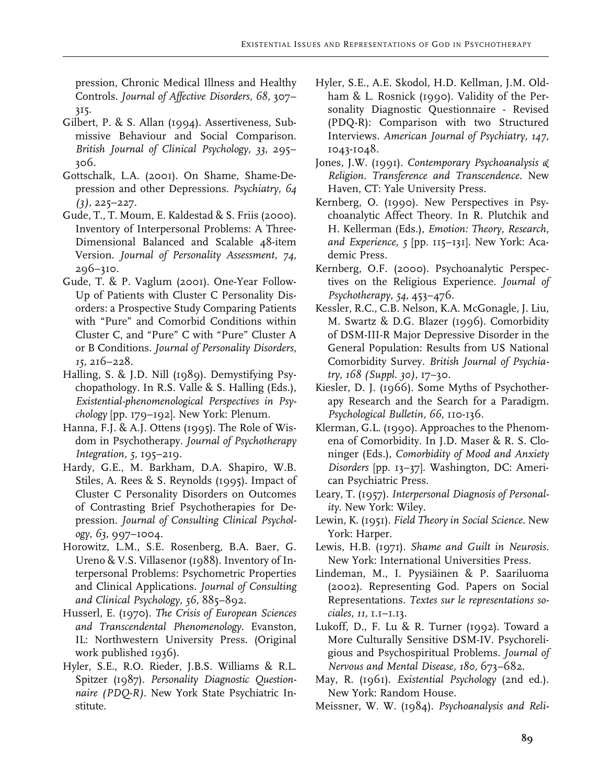pression, Chronic Medical Illness and Healthy Controls. *Journal of Affective Disorders, 68,* 307– 315.

- Gilbert, P. & S. Allan (1994). Assertiveness, Submissive Behaviour and Social Comparison. *British Journal of Clinical Psychology, 33,* 295– 306.
- Gottschalk, L.A. (2001). On Shame, Shame-Depression and other Depressions. *Psychiatry, 64 (3),* 225–227.
- Gude, T., T. Moum, E. Kaldestad & S. Friis (2000). Inventory of Interpersonal Problems: A Three-Dimensional Balanced and Scalable 48-item Version. *Journal of Personality Assessment, 74,* 296–310.
- Gude, T. & P. Vaglum (2001). One-Year Follow-Up of Patients with Cluster C Personality Disorders: a Prospective Study Comparing Patients with "Pure" and Comorbid Conditions within Cluster C, and "Pure" C with "Pure" Cluster A or B Conditions. *Journal of Personality Disorders, 15,* 216–228.
- Halling, S. & J.D. Nill (1989). Demystifying Psychopathology. In R.S. Valle & S. Halling (Eds.), *Existential-phenomenological Perspectives in Psychology* [pp. 179–192]. New York: Plenum.
- Hanna, F.J. & A.J. Ottens (1995). The Role of Wisdom in Psychotherapy. *Journal of Psychotherapy Integration, 5,* 195–219.
- Hardy, G.E., M. Barkham, D.A. Shapiro, W.B. Stiles, A. Rees & S. Reynolds (1995). Impact of Cluster C Personality Disorders on Outcomes of Contrasting Brief Psychotherapies for Depression. *Journal of Consulting Clinical Psychology, 63,* 997–1004.
- Horowitz, L.M., S.E. Rosenberg, B.A. Baer, G. Ureno & V.S. Villasenor (1988). Inventory of Interpersonal Problems: Psychometric Properties and Clinical Applications. *Journal of Consulting and Clinical Psychology, 56,* 885–892.
- Husserl, E. (1970). *The Crisis of European Sciences and Transcendental Phenomenology.* Evanston, IL: Northwestern University Press. (Original work published 1936).
- Hyler, S.E., R.O. Rieder, J.B.S. Williams & R.L. Spitzer (1987). *Personality Diagnostic Questionnaire (PDQ-R).* New York State Psychiatric Institute.
- Hyler, S.E., A.E. Skodol, H.D. Kellman, J.M. Oldham & L. Rosnick (1990). Validity of the Personality Diagnostic Questionnaire - Revised (PDQ-R): Comparison with two Structured Interviews. *American Journal of Psychiatry, 147,*  1043-1048*.*
- Jones, J.W. (1991). *Contemporary Psychoanalysis & Religion. Transference and Transcendence.* New Haven, CT: Yale University Press.
- Kernberg, O. (1990). New Perspectives in Psychoanalytic Affect Theory. In R. Plutchik and H. Kellerman (Eds.), *Emotion: Theory, Research, and Experience, 5* [pp. 115–131]. New York: Academic Press.
- Kernberg, O.F. (2000). Psychoanalytic Perspectives on the Religious Experience. *Journal of Psychotherapy, 54,* 453–476.
- Kessler, R.C., C.B. Nelson, K.A. McGonagle, J. Liu, M. Swartz & D.G. Blazer (1996). Comorbidity of DSM-III-R Major Depressive Disorder in the General Population: Results from US National Comorbidity Survey. *British Journal of Psychiatry, 168 (Suppl. 30)*, 17–30.
- Kiesler, D. J. (1966). Some Myths of Psychotherapy Research and the Search for a Paradigm. *Psychological Bulletin, 66,* 110-136.
- Klerman, G.L. (1990). Approaches to the Phenomena of Comorbidity. In J.D. Maser & R. S. Cloninger (Eds.), *Comorbidity of Mood and Anxiety Disorders* [pp. 13–37]. Washington, DC: American Psychiatric Press.
- Leary, T. (1957). *Interpersonal Diagnosis of Personality.* New York: Wiley.
- Lewin, K. (1951). *Field Theory in Social Science.* New York: Harper.
- Lewis, H.B. (1971). *Shame and Guilt in Neurosis.* New York: International Universities Press.
- Lindeman, M., I. Pyysiäinen & P. Saariluoma (2002). Representing God. Papers on Social Representations. *Textes sur le representations sociales, 11,* 1.1–1.13.
- Lukoff, D., F. Lu & R. Turner (1992). Toward a More Culturally Sensitive DSM-IV. Psychoreligious and Psychospiritual Problems. *Journal of Nervous and Mental Disease, 180,* 673–682.
- May, R. (1961). *Existential Psychology* (2nd ed.). New York: Random House.
- Meissner, W. W. (1984). *Psychoanalysis and Reli-*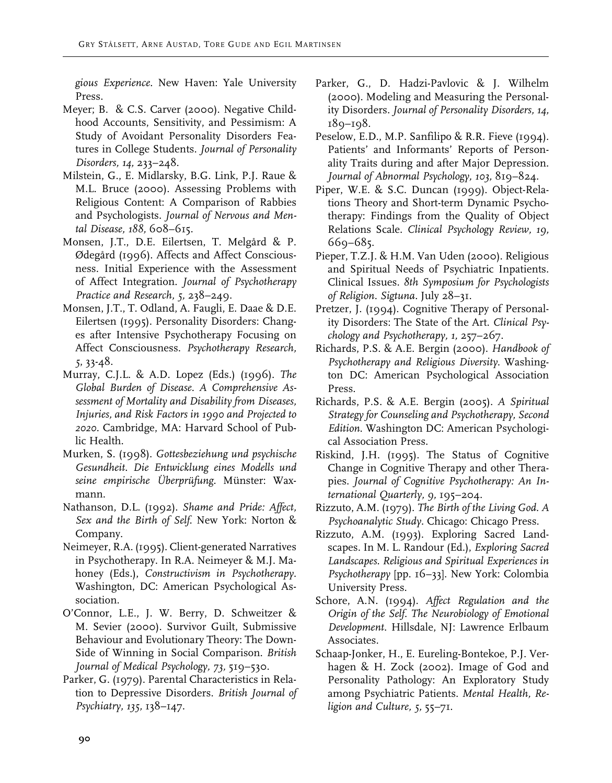*gious Experience.* New Haven: Yale University Press.

- Meyer; B. & C.S. Carver (2000). Negative Childhood Accounts, Sensitivity, and Pessimism: A Study of Avoidant Personality Disorders Features in College Students. *Journal of Personality Disorders, 14,* 233–248.
- Milstein, G., E. Midlarsky, B.G. Link, P.J. Raue & M.L. Bruce (2000). Assessing Problems with Religious Content: A Comparison of Rabbies and Psychologists. *Journal of Nervous and Mental Disease, 188,* 608–615.
- Monsen, J.T., D.E. Eilertsen, T. Melgård & P. Ødegård (1996). Affects and Affect Consciousness. Initial Experience with the Assessment of Affect Integration. *Journal of Psychotherapy Practice and Research, 5,* 238–249.
- Monsen, J.T., T. Odland, A. Faugli, E. Daae & D.E. Eilertsen (1995). Personality Disorders: Changes after Intensive Psychotherapy Focusing on Affect Consciousness. *Psychotherapy Research, 5*, 33-48.
- Murray, C.J.L. & A.D. Lopez (Eds.) (1996). *The Global Burden of Disease. A Comprehensive Assessment of Mortality and Disability from Diseases, Injuries, and Risk Factors in 1990 and Projected to 2020.* Cambridge, MA: Harvard School of Public Health.
- Murken, S. (1998). *Gottesbeziehung und psychische Gesundheit. Die Entwicklung eines Modells und seine empirische Überprüfung.* Münster: Waxmann.
- Nathanson, D.L. (1992). *Shame and Pride: Affect, Sex and the Birth of Self*. New York: Norton & Company.
- Neimeyer, R.A. (1995). Client-generated Narratives in Psychotherapy. In R.A. Neimeyer & M.J. Mahoney (Eds.), *Constructivism in Psychotherapy.* Washington, DC: American Psychological Association.
- O'Connor, L.E., J. W. Berry, D. Schweitzer & M. Sevier (2000). Survivor Guilt, Submissive Behaviour and Evolutionary Theory: The Down-Side of Winning in Social Comparison. *British Journal of Medical Psychology, 73,* 519–530.
- Parker, G. (1979). Parental Characteristics in Relation to Depressive Disorders. *British Journal of Psychiatry, 135,* 138–147.
- Parker, G., D. Hadzi-Pavlovic & J. Wilhelm (2000). Modeling and Measuring the Personality Disorders. *Journal of Personality Disorders, 14,* 189–198.
- Peselow, E.D., M.P. Sanfilipo & R.R. Fieve (1994). Patients' and Informants' Reports of Personality Traits during and after Major Depression. *Journal of Abnormal Psychology, 103,* 819–824.
- Piper, W.E. & S.C. Duncan (1999). Object-Relations Theory and Short-term Dynamic Psychotherapy: Findings from the Quality of Object Relations Scale. *Clinical Psychology Review, 19,* 669–685.
- Pieper, T.Z.J. & H.M. Van Uden (2000). Religious and Spiritual Needs of Psychiatric Inpatients. Clinical Issues. *8th Symposium for Psychologists of Religion. Sigtuna.* July 28–31.
- Pretzer, J. (1994). Cognitive Therapy of Personality Disorders: The State of the Art. *Clinical Psychology and Psychotherapy, 1,* 257–267.
- Richards, P.S. & A.E. Bergin (2000). *Handbook of Psychotherapy and Religious Diversity*. Washington DC: American Psychological Association Press.
- Richards, P.S. & A.E. Bergin (2005). *A Spiritual Strategy for Counseling and Psychotherapy, Second Edition*. Washington DC: American Psychological Association Press.
- Riskind, J.H. (1995). The Status of Cognitive Change in Cognitive Therapy and other Therapies. *Journal of Cognitive Psychotherapy: An International Quarterly, 9,* 195–204.
- Rizzuto, A.M. (1979). *The Birth of the Living God. A Psychoanalytic Study.* Chicago: Chicago Press.
- Rizzuto, A.M. (1993). Exploring Sacred Landscapes. In M. L. Randour (Ed.), *Exploring Sacred Landscapes. Religious and Spiritual Experiences in Psychotherapy* [pp. 16–33]. New York: Colombia University Press.
- Schore, A.N. (1994). *Affect Regulation and the Origin of the Self. The Neurobiology of Emotional Development*. Hillsdale, NJ: Lawrence Erlbaum Associates.
- Schaap-Jonker, H., E. Eureling-Bontekoe, P.J. Verhagen & H. Zock (2002). Image of God and Personality Pathology: An Exploratory Study among Psychiatric Patients. *Mental Health, Religion and Culture, 5,* 55–71.